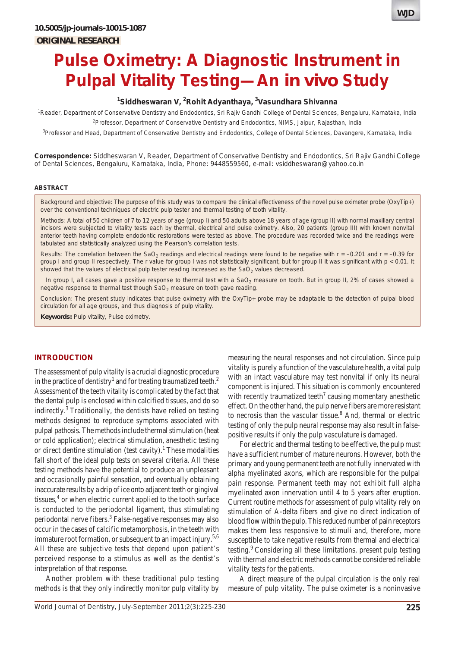# **Pulse Oximetry: A Diagnostic Instrument in Pulpal Vitality Testing—An** *in vivo* **Study**

# **1 Siddheswaran V, 2 Rohit Adyanthaya, 3 Vasundhara Shivanna**

<sup>1</sup>Reader, Department of Conservative Dentistry and Endodontics, Sri Rajiv Gandhi College of Dental Sciences, Bengaluru, Karnataka, India 2 Professor, Department of Conservative Dentistry and Endodontics, NIMS, Jaipur, Rajasthan, India

<sup>3</sup>Professor and Head, Department of Conservative Dentistry and Endodontics, College of Dental Sciences, Davangere, Karnataka, India

**Correspondence:** Siddheswaran V, Reader, Department of Conservative Dentistry and Endodontics, Sri Rajiv Gandhi College of Dental Sciences, Bengaluru, Karnataka, India, Phone: 9448559560, e-mail: vsiddheswaran@yahoo.co.in

#### **ABSTRACT**

*Background and objective*: The purpose of this study was to compare the clinical effectiveness of the novel pulse oximeter probe (OxyTip+) over the conventional techniques of electric pulp tester and thermal testing of tooth vitality.

*Methods*: A total of 50 children of 7 to 12 years of age (group I) and 50 adults above 18 years of age (group II) with normal maxillary central incisors were subjected to vitality tests each by thermal, electrical and pulse oximetry. Also, 20 patients (group III) with known nonvital anterior teeth having complete endodontic restorations were tested as above. The procedure was recorded twice and the readings were tabulated and statistically analyzed using the Pearson's correlation tests.

*Results*: The correlation between the SaO<sub>2</sub> readings and electrical readings were found to be negative with  $r = -0.201$  and  $r = -0.39$  for group I and group II respectively. The r value for group I was not statistically significant, but for group II it was significant with p < 0.01. It showed that the values of electrical pulp tester reading increased as the  $SaO<sub>2</sub>$  values decreased.

In group I, all cases gave a positive response to thermal test with a SaO<sub>2</sub> measure on tooth. But in group II, 2% of cases showed a negative response to thermal test though  $SaO<sub>2</sub>$  measure on tooth gave reading.

*Conclusion*: The present study indicates that pulse oximetry with the OxyTip+ probe may be adaptable to the detection of pulpal blood circulation for all age groups, and thus diagnosis of pulp vitality.

**Keywords:** Pulp vitality, Pulse oximetry.

#### **INTRODUCTION**

The assessment of pulp vitality is a crucial diagnostic procedure in the practice of dentistry<sup>1</sup> and for treating traumatized teeth.<sup>2</sup> Assessment of the teeth vitality is complicated by the fact that the dental pulp is enclosed within calcified tissues, and do so indirectly.<sup>3</sup> Traditionally, the dentists have relied on testing methods designed to reproduce symptoms associated with pulpal pathosis. The methods include thermal stimulation (heat or cold application); electrical stimulation, anesthetic testing or direct dentine stimulation (test cavity).<sup>1</sup> These modalities fall short of the ideal pulp tests on several criteria. All these testing methods have the potential to produce an unpleasant and occasionally painful sensation, and eventually obtaining inaccurate results by a drip of ice onto adjacent teeth or gingival tissues, $4$  or when electric current applied to the tooth surface is conducted to the periodontal ligament, thus stimulating periodontal nerve fibers.<sup>3</sup> False-negative responses may also occur in the cases of calcific metamorphosis, in the teeth with immature root formation, or subsequent to an impact injury.<sup>5,6</sup> All these are subjective tests that depend upon patient's perceived response to a stimulus as well as the dentist's interpretation of that response.

Another problem with these traditional pulp testing methods is that they only indirectly monitor pulp vitality by

measuring the neural responses and not circulation. Since pulp vitality is purely a function of the vasculature health, a vital pulp with an intact vasculature may test nonvital if only its neural component is injured. This situation is commonly encountered with recently traumatized teeth<sup>7</sup> causing momentary anesthetic effect. On the other hand, the pulp nerve fibers are more resistant to necrosis than the vascular tissue.<sup>8</sup> And, thermal or electric testing of only the pulp neural response may also result in falsepositive results if only the pulp vasculature is damaged.

For electric and thermal testing to be effective, the pulp must have a sufficient number of mature neurons. However, both the primary and young permanent teeth are not fully innervated with alpha myelinated axons, which are responsible for the pulpal pain response. Permanent teeth may not exhibit full alpha myelinated axon innervation until 4 to 5 years after eruption. Current routine methods for assessment of pulp vitality rely on stimulation of A-delta fibers and give no direct indication of blood flow within the pulp. This reduced number of pain receptors makes them less responsive to stimuli and, therefore, more susceptible to take negative results from thermal and electrical testing.9 Considering all these limitations, present pulp testing with thermal and electric methods cannot be considered reliable vitality tests for the patients.

A direct measure of the pulpal circulation is the only real measure of pulp vitality. The pulse oximeter is a noninvasive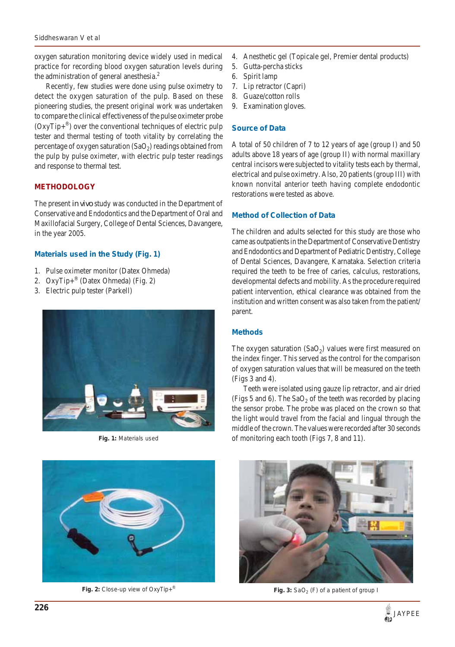oxygen saturation monitoring device widely used in medical practice for recording blood oxygen saturation levels during the administration of general anesthesia.<sup>2</sup>

Recently, few studies were done using pulse oximetry to detect the oxygen saturation of the pulp. Based on these pioneering studies, the present original work was undertaken to compare the clinical effectiveness of the pulse oximeter probe  $(OxyTip+<sup>®</sup>)$  over the conventional techniques of electric pulp tester and thermal testing of tooth vitality by correlating the percentage of oxygen saturation  $(SaO<sub>2</sub>)$  readings obtained from the pulp by pulse oximeter, with electric pulp tester readings and response to thermal test.

# **METHODOLOGY**

The present *in vivo* study was conducted in the Department of Conservative and Endodontics and the Department of Oral and Maxillofacial Surgery, College of Dental Sciences, Davangere, in the year 2005.

## **Materials used in the Study (Fig. 1)**

- 1. Pulse oximeter monitor (Datex Ohmeda)
- 2. OxyTip+® (Datex Ohmeda) (Fig. 2)
- 3. Electric pulp tester (Parkell)





- 4. Anesthetic gel (Topicale gel, Premier dental products)
- 5. Gutta-percha sticks
- 6. Spirit lamp
- 7. Lip retractor (Capri)
- 8. Guaze/cotton rolls
- 9. Examination gloves.

#### **Source of Data**

A total of 50 children of 7 to 12 years of age (group I) and 50 adults above 18 years of age (group II) with normal maxillary central incisors were subjected to vitality tests each by thermal, electrical and pulse oximetry. Also, 20 patients (group III) with known nonvital anterior teeth having complete endodontic restorations were tested as above.

#### **Method of Collection of Data**

The children and adults selected for this study are those who came as outpatients in the Department of Conservative Dentistry and Endodontics and Department of Pediatric Dentistry, College of Dental Sciences, Davangere, Karnataka. Selection criteria required the teeth to be free of caries, calculus, restorations, developmental defects and mobility. As the procedure required patient intervention, ethical clearance was obtained from the institution and written consent was also taken from the patient/ parent.

### **Methods**

The oxygen saturation  $(SaO<sub>2</sub>)$  values were first measured on the index finger. This served as the control for the comparison of oxygen saturation values that will be measured on the teeth (Figs 3 and 4).

Teeth were isolated using gauze lip retractor, and air dried (Figs 5 and 6). The  $SaO<sub>2</sub>$  of the teeth was recorded by placing the sensor probe. The probe was placed on the crown so that the light would travel from the facial and lingual through the middle of the crown. The values were recorded after 30 seconds Fig. 1: Materials used of monitoring each tooth (Figs 7, 8 and 11).



**Fig. 2:** Close-up view of OxyTip+<sup>®</sup> **Fig. 3:** SaO<sub>2</sub> (F) of a patient of group I

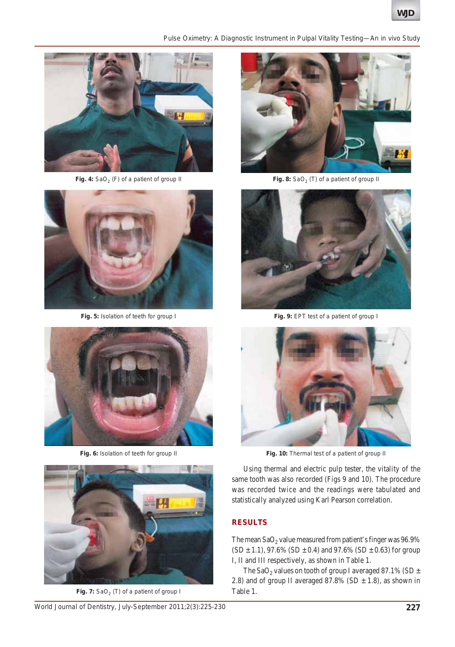*Pulse Oximetry: A Diagnostic Instrument in Pulpal Vitality Testing—An in vivo Study*



Fig. 4: SaO<sub>2</sub> (F) of a patient of group II



**Fig. 5:** Isolation of teeth for group I



**Fig. 6:** Isolation of teeth for group II



Fig. 7: SaO<sub>2</sub> (T) of a patient of group I



Fig. 8: SaO<sub>2</sub> (T) of a patient of group II



**Fig. 9:** EPT test of a patient of group I



**Fig. 10:** Thermal test of a patient of group II

Using thermal and electric pulp tester, the vitality of the same tooth was also recorded (Figs 9 and 10). The procedure was recorded twice and the readings were tabulated and statistically analyzed using Karl Pearson correlation.

## **RESULTS**

The mean  $\text{SaO}_2$  value measured from patient's finger was 96.9%  $(SD \pm 1.1)$ , 97.6%  $(SD \pm 0.4)$  and 97.6%  $(SD \pm 0.63)$  for group I, II and III respectively, as shown in Table 1.

The SaO<sub>2</sub> values on tooth of group I averaged 87.1% (SD  $\pm$ 2.8) and of group II averaged 87.8% (SD  $\pm$  1.8), as shown in Table 1.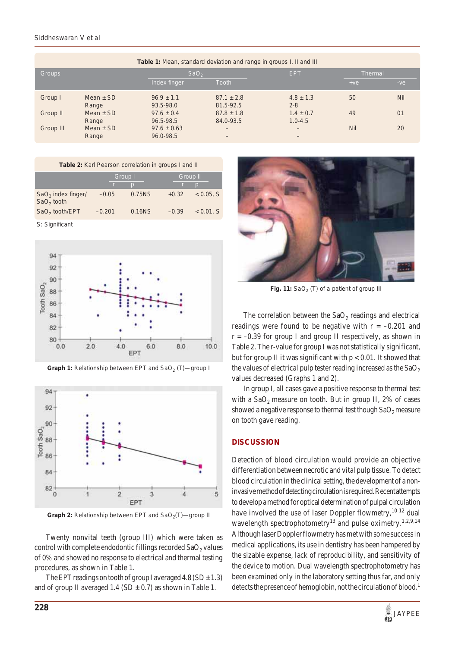#### *Siddheswaran V et al*

| <b>Table 1:</b> Mean, standard deviation and range in groups I, II and III |                        |                              |                             |                               |                |            |  |  |  |
|----------------------------------------------------------------------------|------------------------|------------------------------|-----------------------------|-------------------------------|----------------|------------|--|--|--|
| <b>Groups</b>                                                              |                        | SaO <sub>2</sub>             |                             | <b>EPT</b>                    | <b>Thermal</b> |            |  |  |  |
|                                                                            |                        | Index finger                 | <b>Tooth</b>                |                               | $+ve$          | $-ve$      |  |  |  |
| Group I                                                                    | Mean $\pm$ SD<br>Range | $96.9 \pm 1.1$<br>93.5-98.0  | $87.1 \pm 2.8$<br>81.5-92.5 | $4.8 \pm 1.3$<br>$2 - 8$      | 50             | <b>Nil</b> |  |  |  |
| Group II                                                                   | Mean $\pm$ SD<br>Range | $97.6 \pm 0.4$<br>96.5-98.5  | $87.8 \pm 1.8$<br>84.0-93.5 | $1.4 \pm 0.7$<br>$1.0 - 4.5$  | 49             | 01         |  |  |  |
| Group III                                                                  | Mean $\pm$ SD<br>Range | $97.6 \pm 0.63$<br>96.0-98.5 | $\qquad \qquad -$<br>-      | $\overline{\phantom{0}}$<br>- | Nil            | 20         |  |  |  |

| Table 2: Karl Pearson correlation in groups I and II |          |                |          |                |  |  |  |  |  |
|------------------------------------------------------|----------|----------------|----------|----------------|--|--|--|--|--|
|                                                      | Group I  |                | Group II |                |  |  |  |  |  |
|                                                      |          | $\overline{D}$ |          | $\overline{D}$ |  |  |  |  |  |
| $SaO2$ index finger/<br>$SaO2$ tooth                 | $-0.05$  | 0.75NS         | $+0.32$  | $< 0.05.$ S    |  |  |  |  |  |
| $SaO2$ tooth/EPT                                     | $-0.201$ | 0.16NS         | $-0.39$  | $< 0.01$ , S   |  |  |  |  |  |

S: Significant



**Graph 1:** Relationship between EPT and SaO<sub>2</sub> (T)-group I



**Graph 2:** Relationship between EPT and SaO<sub>2</sub>(T)—group II

Twenty nonvital teeth (group III) which were taken as control with complete endodontic fillings recorded  $SaO<sub>2</sub>$  values of 0% and showed no response to electrical and thermal testing procedures, as shown in Table 1.

The EPT readings on tooth of group I averaged  $4.8$  (SD  $\pm$  1.3) and of group II averaged  $1.4$  (SD  $\pm$  0.7) as shown in Table 1.



Fig. 11: SaO<sub>2</sub> (T) of a patient of group III

The correlation between the  $SaO<sub>2</sub>$  readings and electrical readings were found to be negative with  $r = -0.201$  and  $r = -0.39$  for group I and group II respectively, as shown in Table 2. The r-value for group I was not statistically significant, but for group II it was significant with  $p < 0.01$ . It showed that the values of electrical pulp tester reading increased as the  $SaO<sub>2</sub>$ values decreased (Graphs 1 and 2).

In group I, all cases gave a positive response to thermal test with a  $SaO<sub>2</sub>$  measure on tooth. But in group II, 2% of cases showed a negative response to thermal test though  $SaO<sub>2</sub>$  measure on tooth gave reading.

# **DISCUSSION**

Detection of blood circulation would provide an objective differentiation between necrotic and vital pulp tissue. To detect blood circulation in the clinical setting, the development of a noninvasive method of detecting circulation is required. Recent attempts to develop a method for optical determination of pulpal circulation have involved the use of laser Doppler flowmetry,<sup>10-12</sup> dual wavelength spectrophotometry<sup>13</sup> and pulse oximetry.<sup>1,2,9,14</sup> Although laser Doppler flowmetry has met with some success in medical applications, its use in dentistry has been hampered by the sizable expense, lack of reproducibility, and sensitivity of the device to motion. Dual wavelength spectrophotometry has been examined only in the laboratory setting thus far, and only detects the presence of hemoglobin, not the circulation of blood.<sup>1</sup>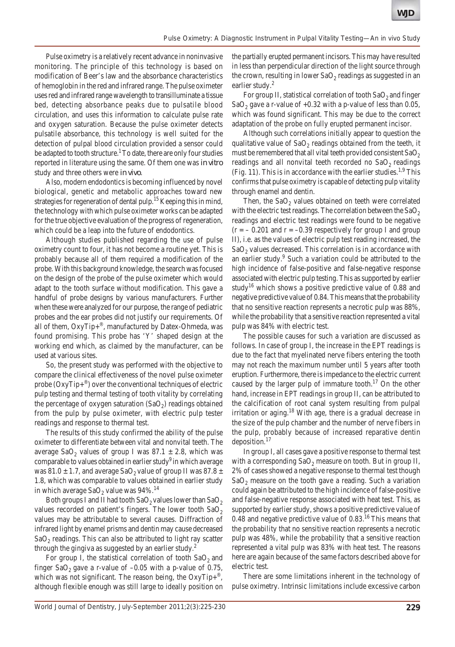Pulse oximetry is a relatively recent advance in noninvasive monitoring. The principle of this technology is based on modification of Beer's law and the absorbance characteristics of hemoglobin in the red and infrared range. The pulse oximeter uses red and infrared range wavelength to transilluminate a tissue bed, detecting absorbance peaks due to pulsatile blood circulation, and uses this information to calculate pulse rate and oxygen saturation. Because the pulse oximeter detects pulsatile absorbance, this technology is well suited for the detection of pulpal blood circulation provided a sensor could be adapted to tooth structure.<sup>1</sup> To date, there are only four studies reported in literature using the same. Of them one was *in vitro* study and three others were *in vivo*.

Also, modern endodontics is becoming influenced by novel biological, genetic and metabolic approaches toward new strategies for regeneration of dental pulp.<sup>15</sup> Keeping this in mind, the technology with which pulse oximeter works can be adapted for the true objective evaluation of the progress of regeneration, which could be a leap into the future of endodontics.

Although studies published regarding the use of pulse oximetry count to four, it has not become a routine yet. This is probably because all of them required a modification of the probe. With this background knowledge, the search was focused on the design of the probe of the pulse oximeter which would adapt to the tooth surface without modification. This gave a handful of probe designs by various manufacturers. Further when these were analyzed for our purpose, the range of pediatric probes and the ear probes did not justify our requirements. Of all of them, OxyTip+®, manufactured by Datex-Ohmeda, was found promising. This probe has 'Y' shaped design at the working end which, as claimed by the manufacturer, can be used at various sites.

So, the present study was performed with the objective to compare the clinical effectiveness of the novel pulse oximeter probe  $(OxyTip+<sup>®</sup>)$  over the conventional techniques of electric pulp testing and thermal testing of tooth vitality by correlating the percentage of oxygen saturation  $(SaO<sub>2</sub>)$  readings obtained from the pulp by pulse oximeter, with electric pulp tester readings and response to thermal test.

The results of this study confirmed the ability of the pulse oximeter to differentiate between vital and nonvital teeth. The average SaO<sub>2</sub> values of group I was 87.1  $\pm$  2.8, which was comparable to values obtained in earlier study<sup>9</sup> in which average was 81.0  $\pm$  1.7, and average SaO<sub>2</sub> value of group II was 87.8  $\pm$ 1.8, which was comparable to values obtained in earlier study in which average  $SaO_2$  value was  $94\%$ .<sup>14</sup>

Both groups I and II had tooth  $SaO<sub>2</sub>$  values lower than  $SaO<sub>2</sub>$ values recorded on patient's fingers. The lower tooth  $SaO<sub>2</sub>$ values may be attributable to several causes. Diffraction of infrared light by enamel prisms and dentin may cause decreased  $SaO<sub>2</sub>$  readings. This can also be attributed to light ray scatter through the gingiva as suggested by an earlier study.<sup>2</sup>

For group I, the statistical correlation of tooth  $SaO<sub>2</sub>$  and finger  $\text{SaO}_2$  gave a r-value of  $-0.05$  with a p-value of 0.75, which was not significant. The reason being, the  $OxyTip+^{\omega}$ , although flexible enough was still large to ideally position on

the partially erupted permanent incisors. This may have resulted in less than perpendicular direction of the light source through the crown, resulting in lower  $SaO<sub>2</sub>$  readings as suggested in an earlier study.<sup>2</sup>

For group II, statistical correlation of tooth  $SaO<sub>2</sub>$  and finger SaO<sub>2</sub> gave a r-value of  $+0.32$  with a p-value of less than 0.05, which was found significant. This may be due to the correct adaptation of the probe on fully erupted permanent incisor.

Although such correlations initially appear to question the qualitative value of  $SaO<sub>2</sub>$  readings obtained from the teeth, it must be remembered that all vital teeth provided consistent  $SaO<sub>2</sub>$ readings and all nonvital teeth recorded no SaO<sub>2</sub> readings (Fig. 11). This is in accordance with the earlier studies.<sup>1,9</sup> This confirms that pulse oximetry is capable of detecting pulp vitality through enamel and dentin.

Then, the  $SaO<sub>2</sub>$  values obtained on teeth were correlated with the electric test readings. The correlation between the  $SaO<sub>2</sub>$ readings and electric test readings were found to be negative  $(r = -0.201$  and  $r = -0.39$  respectively for group I and group II), i.e. as the values of electric pulp test reading increased, the  $SaO<sub>2</sub>$  values decreased. This correlation is in accordance with an earlier study.<sup>9</sup> Such a variation could be attributed to the high incidence of false-positive and false-negative response associated with electric pulp testing. This as supported by earlier study<sup>16</sup> which shows a positive predictive value of 0.88 and negative predictive value of 0.84. This means that the probability that no sensitive reaction represents a necrotic pulp was 88%, while the probability that a sensitive reaction represented a vital pulp was 84% with electric test.

The possible causes for such a variation are discussed as follows. In case of group I, the increase in the EPT readings is due to the fact that myelinated nerve fibers entering the tooth may not reach the maximum number until 5 years after tooth eruption. Furthermore, there is impedance to the electric current caused by the larger pulp of immature tooth.<sup>17</sup> On the other hand, increase in EPT readings in group II, can be attributed to the calcification of root canal system resulting from pulpal irritation or aging.<sup>18</sup> With age, there is a gradual decrease in the size of the pulp chamber and the number of nerve fibers in the pulp, probably because of increased reparative dentin deposition.17

In group I, all cases gave a positive response to thermal test with a corresponding  $SaO<sub>2</sub>$  measure on tooth. But in group II, 2% of cases showed a negative response to thermal test though  $SaO<sub>2</sub>$  measure on the tooth gave a reading. Such a variation could again be attributed to the high incidence of false-positive and false-negative response associated with heat test. This, as supported by earlier study, shows a positive predictive value of 0.48 and negative predictive value of  $0.83^{16}$  This means that the probability that no sensitive reaction represents a necrotic pulp was 48%, while the probability that a sensitive reaction represented a vital pulp was 83% with heat test. The reasons here are again because of the same factors described above for electric test.

There are some limitations inherent in the technology of pulse oximetry. Intrinsic limitations include excessive carbon